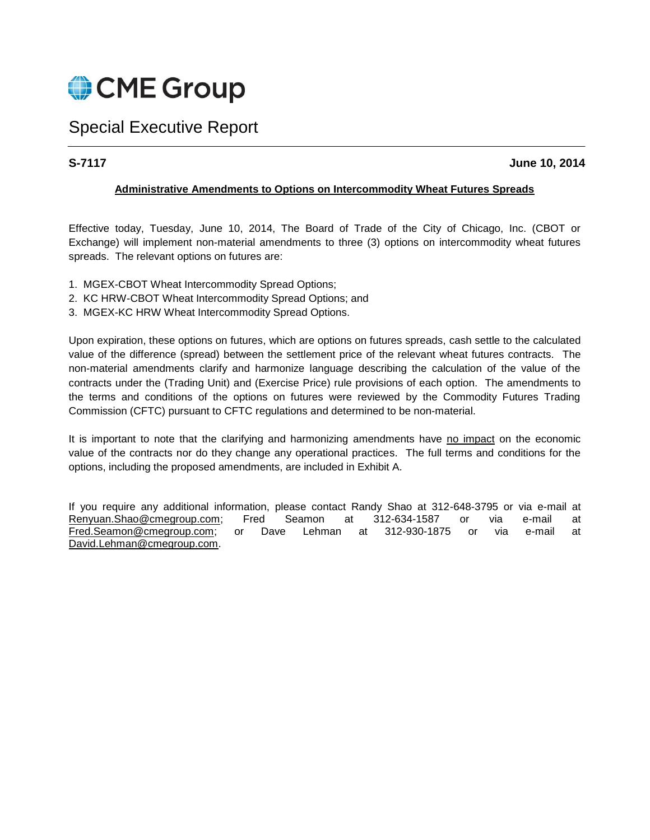

# Special Executive Report

# **S-7117 June 10, 2014**

### **Administrative Amendments to Options on Intercommodity Wheat Futures Spreads**

Effective today, Tuesday, June 10, 2014, The Board of Trade of the City of Chicago, Inc. (CBOT or Exchange) will implement non-material amendments to three (3) options on intercommodity wheat futures spreads. The relevant options on futures are:

- 1. MGEX-CBOT Wheat Intercommodity Spread Options;
- 2. KC HRW-CBOT Wheat Intercommodity Spread Options; and
- 3. MGEX-KC HRW Wheat Intercommodity Spread Options.

Upon expiration, these options on futures, which are options on futures spreads, cash settle to the calculated value of the difference (spread) between the settlement price of the relevant wheat futures contracts. The non-material amendments clarify and harmonize language describing the calculation of the value of the contracts under the (Trading Unit) and (Exercise Price) rule provisions of each option. The amendments to the terms and conditions of the options on futures were reviewed by the Commodity Futures Trading Commission (CFTC) pursuant to CFTC regulations and determined to be non-material.

It is important to note that the clarifying and harmonizing amendments have no impact on the economic value of the contracts nor do they change any operational practices. The full terms and conditions for the options, including the proposed amendments, are included in Exhibit A.

If you require any additional information, please contact Randy Shao at 312-648-3795 or via e-mail at Renyuan.Shao@cmegroup.com; Fred Seamon at 312-634-1587 or via e-mail at [Fred.Seamon@cmegroup.com;](mailto:Fred.Seamon@cmegroup.com) or Dave Lehman at 312-930-1875 or via e-mail at [David.Lehman@cmegroup.com.](mailto:David.Lehman@cmegroup.com)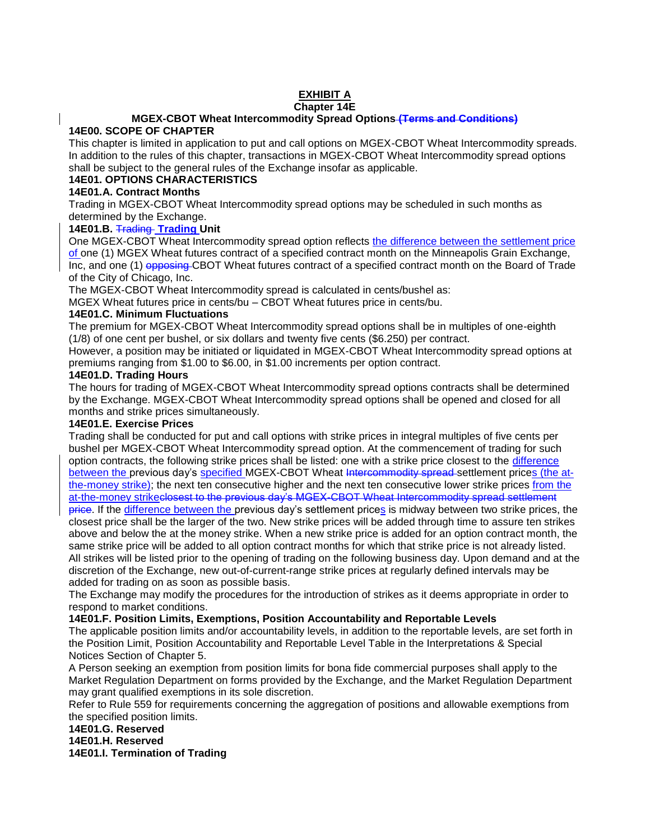# **EXHIBIT A**

#### **Chapter 14E**

#### **MGEX-CBOT Wheat Intercommodity Spread Options (Terms and Conditions) 14E00. SCOPE OF CHAPTER**

This chapter is limited in application to put and call options on MGEX-CBOT Wheat Intercommodity spreads. In addition to the rules of this chapter, transactions in MGEX-CBOT Wheat Intercommodity spread options shall be subject to the general rules of the Exchange insofar as applicable.

# **14E01. OPTIONS CHARACTERISTICS**

# **14E01.A. Contract Months**

Trading in MGEX-CBOT Wheat Intercommodity spread options may be scheduled in such months as determined by the Exchange.

# **14E01.B.** Trading **Trading Unit**

One MGEX-CBOT Wheat Intercommodity spread option reflects the difference between the settlement price of one (1) MGEX Wheat futures contract of a specified contract month on the Minneapolis Grain Exchange, Inc, and one (1) opposing CBOT Wheat futures contract of a specified contract month on the Board of Trade of the City of Chicago, Inc.

The MGEX-CBOT Wheat Intercommodity spread is calculated in cents/bushel as:

MGEX Wheat futures price in cents/bu – CBOT Wheat futures price in cents/bu.

### **14E01.C. Minimum Fluctuations**

The premium for MGEX-CBOT Wheat Intercommodity spread options shall be in multiples of one-eighth (1/8) of one cent per bushel, or six dollars and twenty five cents (\$6.250) per contract.

However, a position may be initiated or liquidated in MGEX-CBOT Wheat Intercommodity spread options at premiums ranging from \$1.00 to \$6.00, in \$1.00 increments per option contract.

#### **14E01.D. Trading Hours**

The hours for trading of MGEX-CBOT Wheat Intercommodity spread options contracts shall be determined by the Exchange. MGEX-CBOT Wheat Intercommodity spread options shall be opened and closed for all months and strike prices simultaneously.

#### **14E01.E. Exercise Prices**

Trading shall be conducted for put and call options with strike prices in integral multiples of five cents per bushel per MGEX-CBOT Wheat Intercommodity spread option. At the commencement of trading for such option contracts, the following strike prices shall be listed: one with a strike price closest to the difference between the previous day's specified MGEX-CBOT Wheat Intercommodity spread settlement prices (the atthe-money strike); the next ten consecutive higher and the next ten consecutive lower strike prices from the at-the-money strikeclosest to the previous day's MGEX-CBOT Wheat Intercommodity spread settlement

price. If the difference between the previous day's settlement prices is midway between two strike prices, the closest price shall be the larger of the two. New strike prices will be added through time to assure ten strikes above and below the at the money strike. When a new strike price is added for an option contract month, the same strike price will be added to all option contract months for which that strike price is not already listed. All strikes will be listed prior to the opening of trading on the following business day. Upon demand and at the discretion of the Exchange, new out-of-current-range strike prices at regularly defined intervals may be added for trading on as soon as possible basis.

The Exchange may modify the procedures for the introduction of strikes as it deems appropriate in order to respond to market conditions.

# **14E01.F. Position Limits, Exemptions, Position Accountability and Reportable Levels**

The applicable position limits and/or accountability levels, in addition to the reportable levels, are set forth in the Position Limit, Position Accountability and Reportable Level Table in the Interpretations & Special Notices Section of Chapter 5.

A Person seeking an exemption from position limits for bona fide commercial purposes shall apply to the Market Regulation Department on forms provided by the Exchange, and the Market Regulation Department may grant qualified exemptions in its sole discretion.

Refer to Rule 559 for requirements concerning the aggregation of positions and allowable exemptions from the specified position limits.

# **14E01.G. Reserved**

**14E01.H. Reserved** 

**14E01.I. Termination of Trading**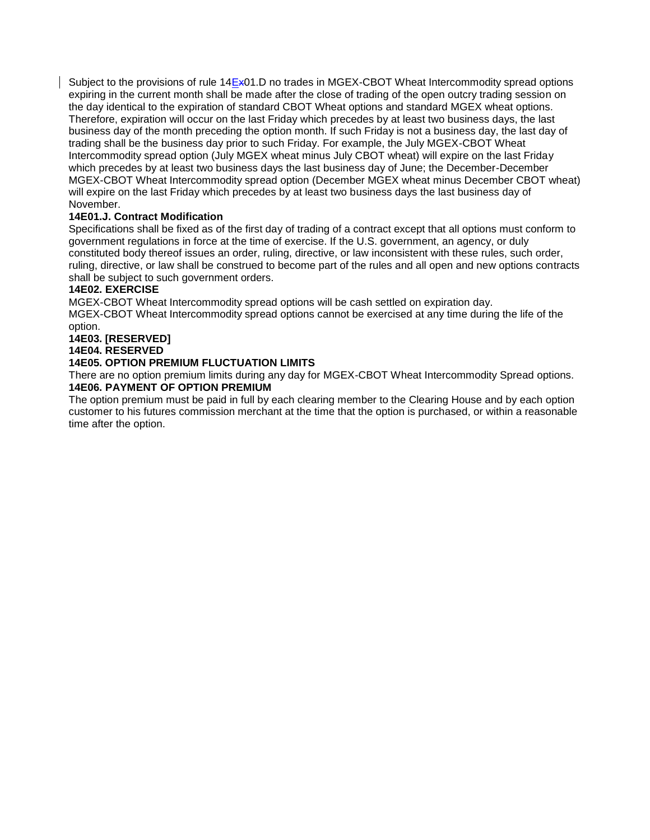Subject to the provisions of rule  $14E \times 01$ . D no trades in MGEX-CBOT Wheat Intercommodity spread options expiring in the current month shall be made after the close of trading of the open outcry trading session on the day identical to the expiration of standard CBOT Wheat options and standard MGEX wheat options. Therefore, expiration will occur on the last Friday which precedes by at least two business days, the last business day of the month preceding the option month. If such Friday is not a business day, the last day of trading shall be the business day prior to such Friday. For example, the July MGEX-CBOT Wheat Intercommodity spread option (July MGEX wheat minus July CBOT wheat) will expire on the last Friday which precedes by at least two business days the last business day of June; the December-December MGEX-CBOT Wheat Intercommodity spread option (December MGEX wheat minus December CBOT wheat) will expire on the last Friday which precedes by at least two business days the last business day of November.

# **14E01.J. Contract Modification**

Specifications shall be fixed as of the first day of trading of a contract except that all options must conform to government regulations in force at the time of exercise. If the U.S. government, an agency, or duly constituted body thereof issues an order, ruling, directive, or law inconsistent with these rules, such order, ruling, directive, or law shall be construed to become part of the rules and all open and new options contracts shall be subject to such government orders.

# **14E02. EXERCISE**

MGEX-CBOT Wheat Intercommodity spread options will be cash settled on expiration day.

MGEX-CBOT Wheat Intercommodity spread options cannot be exercised at any time during the life of the option.

**14E03. [RESERVED]** 

# **14E04. RESERVED**

#### **14E05. OPTION PREMIUM FLUCTUATION LIMITS**

There are no option premium limits during any day for MGEX-CBOT Wheat Intercommodity Spread options. **14E06. PAYMENT OF OPTION PREMIUM** 

The option premium must be paid in full by each clearing member to the Clearing House and by each option customer to his futures commission merchant at the time that the option is purchased, or within a reasonable time after the option.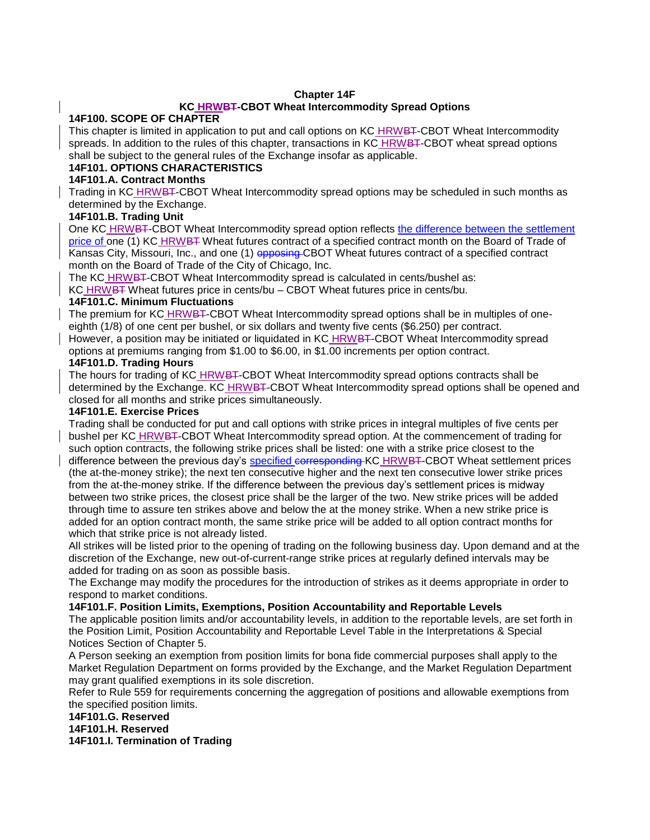#### **Chapter 14F**

#### **KC HRWBT-CBOT Wheat Intercommodity Spread Options**

#### **14F100. SCOPE OF CHAPTER**

This chapter is limited in application to put and call options on KC HRWBT-CBOT Wheat Intercommodity spreads. In addition to the rules of this chapter, transactions in KC HRWBT-CBOT wheat spread options shall be subject to the general rules of the Exchange insofar as applicable.

### **14F101. OPTIONS CHARACTERISTICS**

### **14F101.A. Contract Months**

Trading in KC HRWBT-CBOT Wheat Intercommodity spread options may be scheduled in such months as determined by the Exchange.

#### **14F101.B. Trading Unit**

One KC HRWBT-CBOT Wheat Intercommodity spread option reflects the difference between the settlement price of one (1) KC HRWBT Wheat futures contract of a specified contract month on the Board of Trade of Kansas City, Missouri, Inc., and one (1) opposing CBOT Wheat futures contract of a specified contract month on the Board of Trade of the City of Chicago, Inc.

The KC HRWBT-CBOT Wheat Intercommodity spread is calculated in cents/bushel as:

KC HRWBT Wheat futures price in cents/bu – CBOT Wheat futures price in cents/bu.

#### **14F101.C. Minimum Fluctuations**

The premium for KC HRWBT-CBOT Wheat Intercommodity spread options shall be in multiples of oneeighth (1/8) of one cent per bushel, or six dollars and twenty five cents (\$6.250) per contract. However, a position may be initiated or liquidated in KC HRWBT-CBOT Wheat Intercommodity spread

options at premiums ranging from \$1.00 to \$6.00, in \$1.00 increments per option contract.

# **14F101.D. Trading Hours**

The hours for trading of KC HRWBT-CBOT Wheat Intercommodity spread options contracts shall be determined by the Exchange. KC HRWBT-CBOT Wheat Intercommodity spread options shall be opened and closed for all months and strike prices simultaneously.

#### **14F101.E. Exercise Prices**

Trading shall be conducted for put and call options with strike prices in integral multiples of five cents per bushel per KC HRWBT-CBOT Wheat Intercommodity spread option. At the commencement of trading for such option contracts, the following strike prices shall be listed: one with a strike price closest to the

difference between the previous day's specified corresponding KC HRWBT-CBOT Wheat settlement prices (the at-the-money strike); the next ten consecutive higher and the next ten consecutive lower strike prices from the at-the-money strike. If the difference between the previous day's settlement prices is midway between two strike prices, the closest price shall be the larger of the two. New strike prices will be added through time to assure ten strikes above and below the at the money strike. When a new strike price is added for an option contract month, the same strike price will be added to all option contract months for which that strike price is not already listed.

All strikes will be listed prior to the opening of trading on the following business day. Upon demand and at the discretion of the Exchange, new out-of-current-range strike prices at regularly defined intervals may be added for trading on as soon as possible basis.

The Exchange may modify the procedures for the introduction of strikes as it deems appropriate in order to respond to market conditions.

#### **14F101.F. Position Limits, Exemptions, Position Accountability and Reportable Levels**

The applicable position limits and/or accountability levels, in addition to the reportable levels, are set forth in the Position Limit, Position Accountability and Reportable Level Table in the Interpretations & Special Notices Section of Chapter 5.

A Person seeking an exemption from position limits for bona fide commercial purposes shall apply to the Market Regulation Department on forms provided by the Exchange, and the Market Regulation Department may grant qualified exemptions in its sole discretion.

Refer to Rule 559 for requirements concerning the aggregation of positions and allowable exemptions from the specified position limits.

**14F101.G. Reserved 14F101.H. Reserved 14F101.I. Termination of Trading**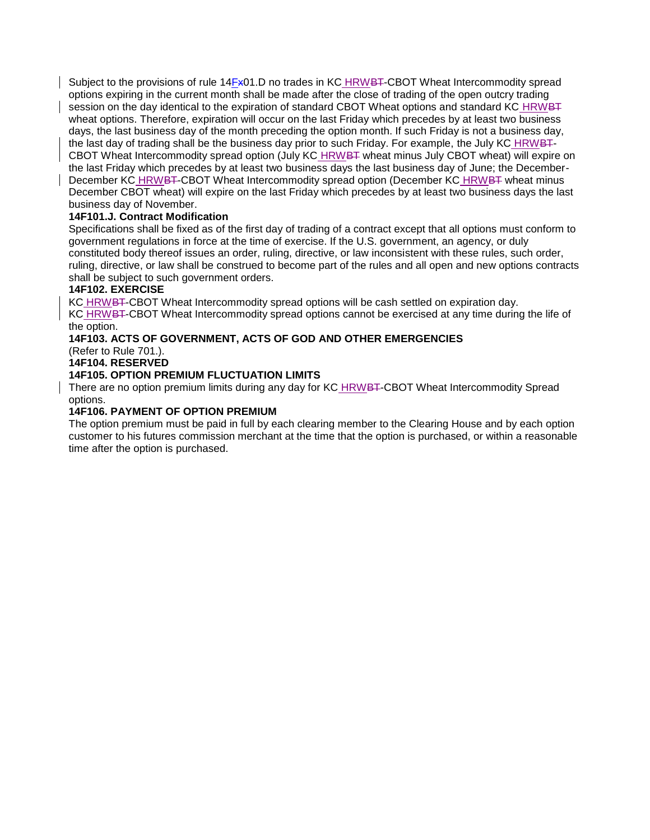Subject to the provisions of rule 14Fx01.D no trades in KC HRWBT-CBOT Wheat Intercommodity spread options expiring in the current month shall be made after the close of trading of the open outcry trading session on the day identical to the expiration of standard CBOT Wheat options and standard KC HRWBT wheat options. Therefore, expiration will occur on the last Friday which precedes by at least two business days, the last business day of the month preceding the option month. If such Friday is not a business day, the last day of trading shall be the business day prior to such Friday. For example, the July KC HRWBT-CBOT Wheat Intercommodity spread option (July KC HRWBT wheat minus July CBOT wheat) will expire on the last Friday which precedes by at least two business days the last business day of June; the December-December KC HRWBT-CBOT Wheat Intercommodity spread option (December KC HRWBT wheat minus December CBOT wheat) will expire on the last Friday which precedes by at least two business days the last business day of November.

# **14F101.J. Contract Modification**

Specifications shall be fixed as of the first day of trading of a contract except that all options must conform to government regulations in force at the time of exercise. If the U.S. government, an agency, or duly constituted body thereof issues an order, ruling, directive, or law inconsistent with these rules, such order, ruling, directive, or law shall be construed to become part of the rules and all open and new options contracts shall be subject to such government orders.

#### **14F102. EXERCISE**

KC HRWBT-CBOT Wheat Intercommodity spread options will be cash settled on expiration day.

KC HRWBT-CBOT Wheat Intercommodity spread options cannot be exercised at any time during the life of the option.

# **14F103. ACTS OF GOVERNMENT, ACTS OF GOD AND OTHER EMERGENCIES**

(Refer to Rule 701.).

**14F104. RESERVED** 

# **14F105. OPTION PREMIUM FLUCTUATION LIMITS**

There are no option premium limits during any day for KC HRWBT-CBOT Wheat Intercommodity Spread options.

#### **14F106. PAYMENT OF OPTION PREMIUM**

The option premium must be paid in full by each clearing member to the Clearing House and by each option customer to his futures commission merchant at the time that the option is purchased, or within a reasonable time after the option is purchased.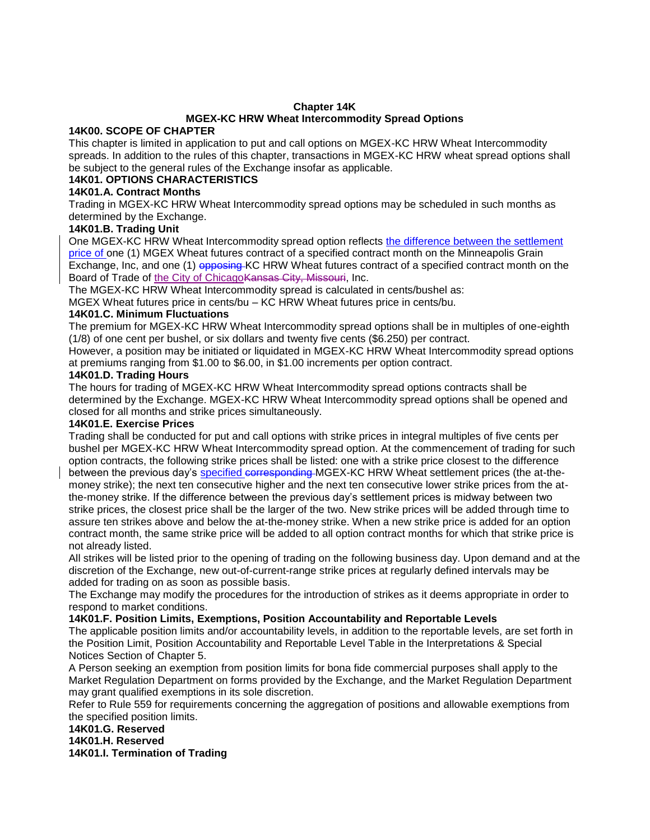#### **Chapter 14K**

# **MGEX-KC HRW Wheat Intercommodity Spread Options**

#### **14K00. SCOPE OF CHAPTER**

This chapter is limited in application to put and call options on MGEX-KC HRW Wheat Intercommodity spreads. In addition to the rules of this chapter, transactions in MGEX-KC HRW wheat spread options shall be subject to the general rules of the Exchange insofar as applicable.

### **14K01. OPTIONS CHARACTERISTICS**

#### **14K01.A. Contract Months**

Trading in MGEX-KC HRW Wheat Intercommodity spread options may be scheduled in such months as determined by the Exchange.

# **14K01.B. Trading Unit**

One MGEX-KC HRW Wheat Intercommodity spread option reflects the difference between the settlement price of one (1) MGEX Wheat futures contract of a specified contract month on the Minneapolis Grain Exchange, Inc, and one (1) opposing KC HRW Wheat futures contract of a specified contract month on the Board of Trade of the City of Chicago Kansas City, Missouri, Inc.

The MGEX-KC HRW Wheat Intercommodity spread is calculated in cents/bushel as:

MGEX Wheat futures price in cents/bu – KC HRW Wheat futures price in cents/bu.

# **14K01.C. Minimum Fluctuations**

The premium for MGEX-KC HRW Wheat Intercommodity spread options shall be in multiples of one-eighth (1/8) of one cent per bushel, or six dollars and twenty five cents (\$6.250) per contract.

However, a position may be initiated or liquidated in MGEX-KC HRW Wheat Intercommodity spread options at premiums ranging from \$1.00 to \$6.00, in \$1.00 increments per option contract.

#### **14K01.D. Trading Hours**

The hours for trading of MGEX-KC HRW Wheat Intercommodity spread options contracts shall be determined by the Exchange. MGEX-KC HRW Wheat Intercommodity spread options shall be opened and closed for all months and strike prices simultaneously.

#### **14K01.E. Exercise Prices**

Trading shall be conducted for put and call options with strike prices in integral multiples of five cents per bushel per MGEX-KC HRW Wheat Intercommodity spread option. At the commencement of trading for such option contracts, the following strike prices shall be listed: one with a strike price closest to the difference between the previous day's specified corresponding MGEX-KC HRW Wheat settlement prices (the at-themoney strike); the next ten consecutive higher and the next ten consecutive lower strike prices from the atthe-money strike. If the difference between the previous day's settlement prices is midway between two strike prices, the closest price shall be the larger of the two. New strike prices will be added through time to assure ten strikes above and below the at-the-money strike. When a new strike price is added for an option contract month, the same strike price will be added to all option contract months for which that strike price is not already listed.

All strikes will be listed prior to the opening of trading on the following business day. Upon demand and at the discretion of the Exchange, new out-of-current-range strike prices at regularly defined intervals may be added for trading on as soon as possible basis.

The Exchange may modify the procedures for the introduction of strikes as it deems appropriate in order to respond to market conditions.

# **14K01.F. Position Limits, Exemptions, Position Accountability and Reportable Levels**

The applicable position limits and/or accountability levels, in addition to the reportable levels, are set forth in the Position Limit, Position Accountability and Reportable Level Table in the Interpretations & Special Notices Section of Chapter 5.

A Person seeking an exemption from position limits for bona fide commercial purposes shall apply to the Market Regulation Department on forms provided by the Exchange, and the Market Regulation Department may grant qualified exemptions in its sole discretion.

Refer to Rule 559 for requirements concerning the aggregation of positions and allowable exemptions from the specified position limits.

# **14K01.G. Reserved**

**14K01.H. Reserved** 

**14K01.I. Termination of Trading**